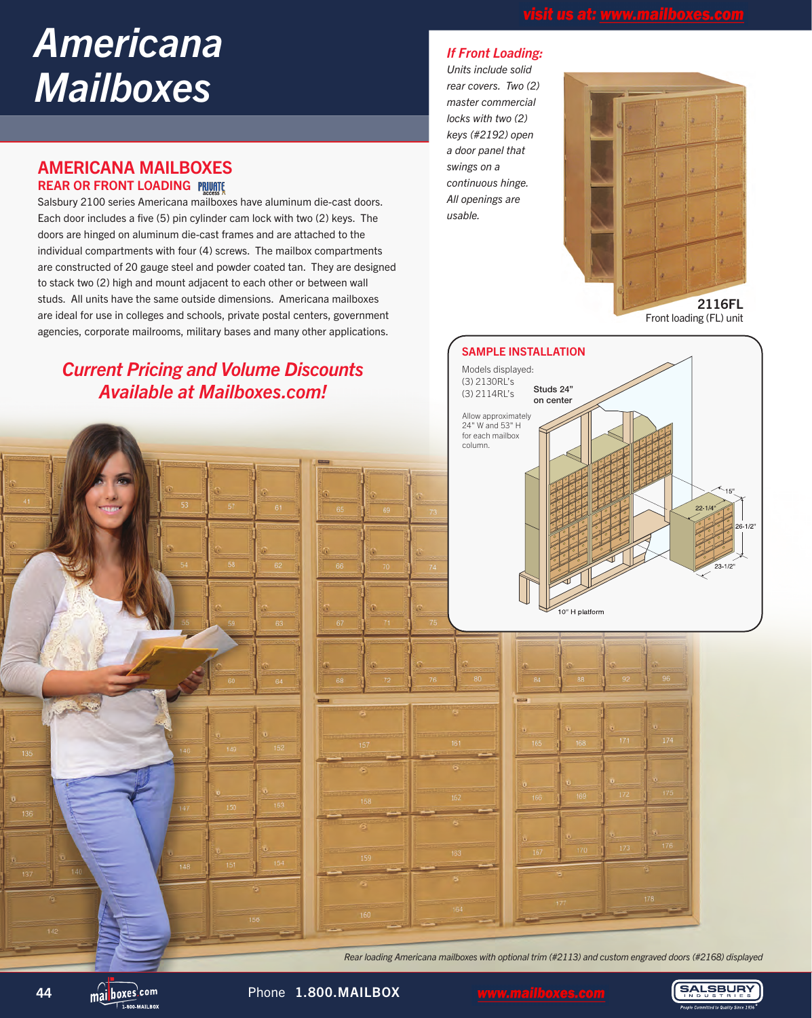# *Americana Mailboxes*

### AMERICANA MAILBOXES REAR OR FRONT LOADING

Salsbury 2100 series Americana mailboxes have aluminum die-cast doors. Each door includes a five (5) pin cylinder cam lock with two (2) keys. The doors are hinged on aluminum die-cast frames and are attached to the individual compartments with four (4) screws. The mailbox compartments are constructed of 20 gauge steel and powder coated tan. They are designed to stack two (2) high and mount adjacent to each other or between wall studs. All units have the same outside dimensions. Americana mailboxes are ideal for use in colleges and schools, private postal centers, government agencies, corporate mailrooms, military bases and many other applications.

# *Current Pricing and Volume Discounts Available at Mailboxes.com!*

### *If Front Loading:*

*Units include solid rear covers. Two (2) master commercial locks with two (2) keys (#2192) open a door panel that swings on a continuous hinge. All openings are usable.*



SAMPLE INSTALLATION Models displayed: (3) 2130RL's Studs 24" (3) 2114RL's on center Allow approximately 24" W and 53" H for each mailbox column. 0" H platform

*Rear loading Americana mailboxes with optional trim (#2113) and custom engraved doors (#2168) displayed*